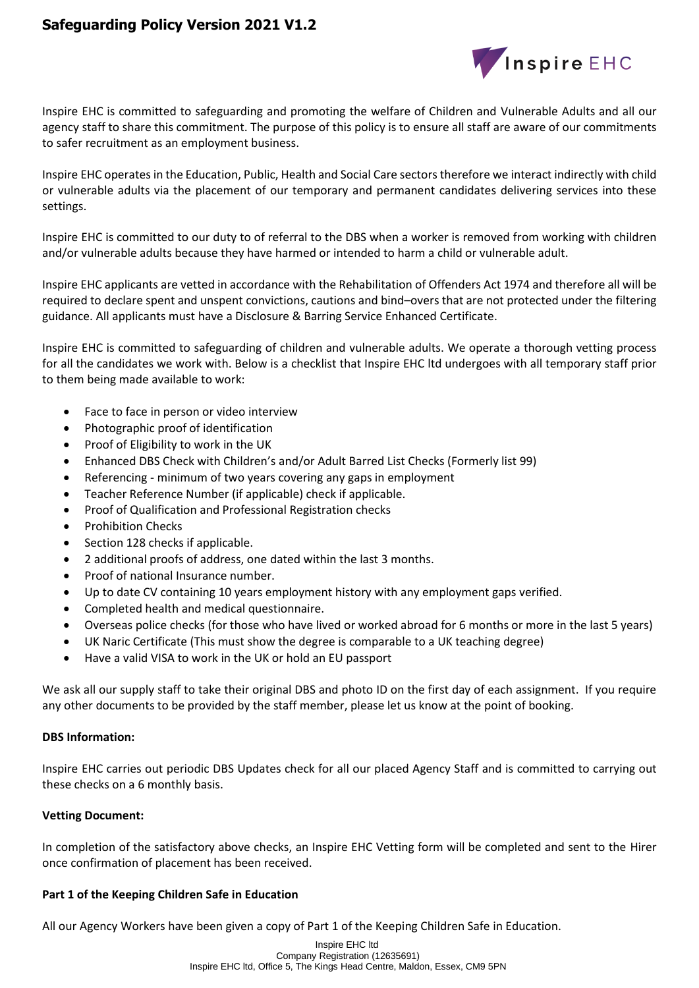# **Safeguarding Policy Version 2021 V1.2**



Inspire EHC is committed to safeguarding and promoting the welfare of Children and Vulnerable Adults and all our agency staff to share this commitment. The purpose of this policy is to ensure all staff are aware of our commitments to safer recruitment as an employment business.

Inspire EHC operates in the Education, Public, Health and Social Care sectors therefore we interact indirectly with child or vulnerable adults via the placement of our temporary and permanent candidates delivering services into these settings.

Inspire EHC is committed to our duty to of referral to the DBS when a worker is removed from working with children and/or vulnerable adults because they have harmed or intended to harm a child or vulnerable adult.

Inspire EHC applicants are vetted in accordance with the Rehabilitation of Offenders Act 1974 and therefore all will be required to declare spent and unspent convictions, cautions and bind–overs that are not protected under the filtering guidance. All applicants must have a Disclosure & Barring Service Enhanced Certificate.

Inspire EHC is committed to safeguarding of children and vulnerable adults. We operate a thorough vetting process for all the candidates we work with. Below is a checklist that Inspire EHC ltd undergoes with all temporary staff prior to them being made available to work:

- Face to face in person or video interview
- Photographic proof of identification
- Proof of Eligibility to work in the UK
- Enhanced DBS Check with Children's and/or Adult Barred List Checks (Formerly list 99)
- Referencing minimum of two years covering any gaps in employment
- Teacher Reference Number (if applicable) check if applicable.
- Proof of Qualification and Professional Registration checks
- Prohibition Checks
- Section 128 checks if applicable.
- 2 additional proofs of address, one dated within the last 3 months.
- Proof of national Insurance number.
- Up to date CV containing 10 years employment history with any employment gaps verified.
- Completed health and medical questionnaire.
- Overseas police checks (for those who have lived or worked abroad for 6 months or more in the last 5 years)
- UK Naric Certificate (This must show the degree is comparable to a UK teaching degree)
- Have a valid VISA to work in the UK or hold an EU passport

We ask all our supply staff to take their original DBS and photo ID on the first day of each assignment. If you require any other documents to be provided by the staff member, please let us know at the point of booking.

### **DBS Information:**

Inspire EHC carries out periodic DBS Updates check for all our placed Agency Staff and is committed to carrying out these checks on a 6 monthly basis.

### **Vetting Document:**

In completion of the satisfactory above checks, an Inspire EHC Vetting form will be completed and sent to the Hirer once confirmation of placement has been received.

### **Part 1 of the Keeping Children Safe in Education**

All our Agency Workers have been given a copy of Part 1 of the Keeping Children Safe in Education.